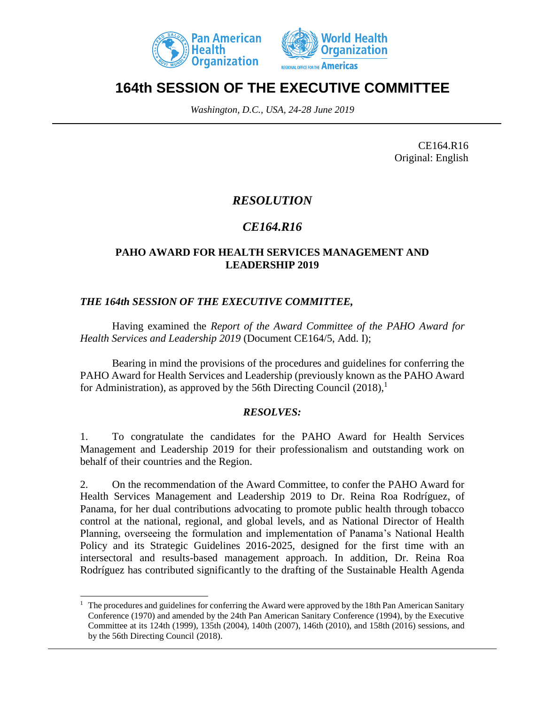



# **164th SESSION OF THE EXECUTIVE COMMITTEE**

*Washington, D.C., USA, 24-28 June 2019*

CE164.R16 Original: English

### *RESOLUTION*

## *CE164.R16*

#### **PAHO AWARD FOR HEALTH SERVICES MANAGEMENT AND LEADERSHIP 2019**

### *THE 164th SESSION OF THE EXECUTIVE COMMITTEE,*

 $\overline{a}$ 

Having examined the *Report of the Award Committee of the PAHO Award for Health Services and Leadership 2019* (Document CE164/5, Add. I);

Bearing in mind the provisions of the procedures and guidelines for conferring the PAHO Award for Health Services and Leadership (previously known as the PAHO Award for Administration), as approved by the 56th Directing Council  $(2018)$ ,<sup>1</sup>

#### *RESOLVES:*

1. To congratulate the candidates for the PAHO Award for Health Services Management and Leadership 2019 for their professionalism and outstanding work on behalf of their countries and the Region.

2. On the recommendation of the Award Committee, to confer the PAHO Award for Health Services Management and Leadership 2019 to Dr. Reina Roa Rodríguez, of Panama, for her dual contributions advocating to promote public health through tobacco control at the national, regional, and global levels, and as National Director of Health Planning, overseeing the formulation and implementation of Panama's National Health Policy and its Strategic Guidelines 2016-2025, designed for the first time with an intersectoral and results-based management approach. In addition, Dr. Reina Roa Rodríguez has contributed significantly to the drafting of the Sustainable Health Agenda

 $1$  The procedures and guidelines for conferring the Award were approved by the 18th Pan American Sanitary Conference (1970) and amended by the 24th Pan American Sanitary Conference (1994), by the Executive Committee at its 124th (1999), 135th (2004), 140th (2007), 146th (2010), and 158th (2016) sessions, and by the 56th Directing Council (2018).